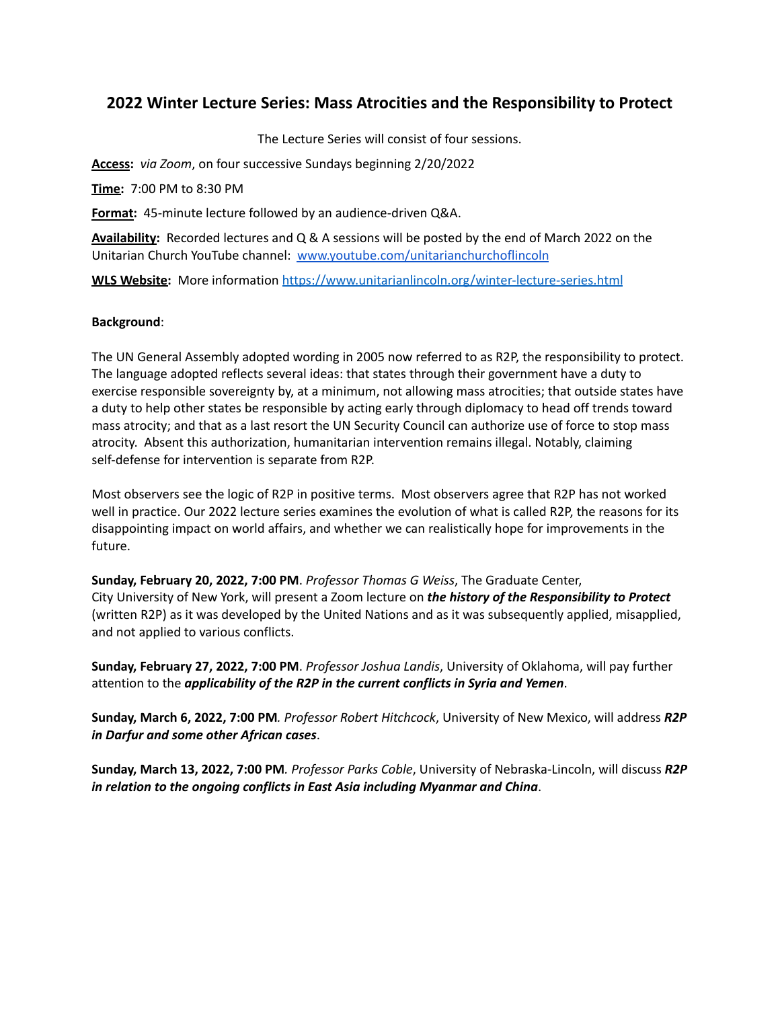## **2022 Winter Lecture Series: Mass Atrocities and the Responsibility to Protect**

The Lecture Series will consist of four sessions.

**Access:** *via Zoom*, on four successive Sundays beginning 2/20/2022

**Time:** 7:00 PM to 8:30 PM

**Format:** 45-minute lecture followed by an audience-driven Q&A.

**Availability:** Recorded lectures and Q & A sessions will be posted by the end of March 2022 on the Unitarian Church YouTube channel: [www.youtube.com/unitarianchurchoflincoln](http://www.youtube.com/unitarianchurchoflincoln)

**WLS Website:** More information <https://www.unitarianlincoln.org/winter-lecture-series.html>

## **Background**:

The UN General Assembly adopted wording in 2005 now referred to as R2P, the responsibility to protect. The language adopted reflects several ideas: that states through their government have a duty to exercise responsible sovereignty by, at a minimum, not allowing mass atrocities; that outside states have a duty to help other states be responsible by acting early through diplomacy to head off trends toward mass atrocity; and that as a last resort the UN Security Council can authorize use of force to stop mass atrocity. Absent this authorization, humanitarian intervention remains illegal. Notably, claiming self-defense for intervention is separate from R2P.

Most observers see the logic of R2P in positive terms. Most observers agree that R2P has not worked well in practice. Our 2022 lecture series examines the evolution of what is called R2P, the reasons for its disappointing impact on world affairs, and whether we can realistically hope for improvements in the future.

**Sunday, February 20, 2022, 7:00 PM**. *Professor Thomas G Weiss*, The Graduate Center, City University of New York, will present a Zoom lecture on *the history of the Responsibility to Protect* (written R2P) as it was developed by the United Nations and as it was subsequently applied, misapplied, and not applied to various conflicts.

**Sunday, February 27, 2022, 7:00 PM**. *Professor Joshua Landis*, University of Oklahoma, will pay further attention to the *applicability of the R2P in the current conflicts in Syria and Yemen*.

**Sunday, March 6, 2022, 7:00 PM***. Professor Robert Hitchcock*, University of New Mexico, will address *R2P in Darfur and some other African cases*.

**Sunday, March 13, 2022, 7:00 PM***. Professor Parks Coble*, University of Nebraska-Lincoln, will discuss *R2P in relation to the ongoing conflicts in East Asia including Myanmar and China*.